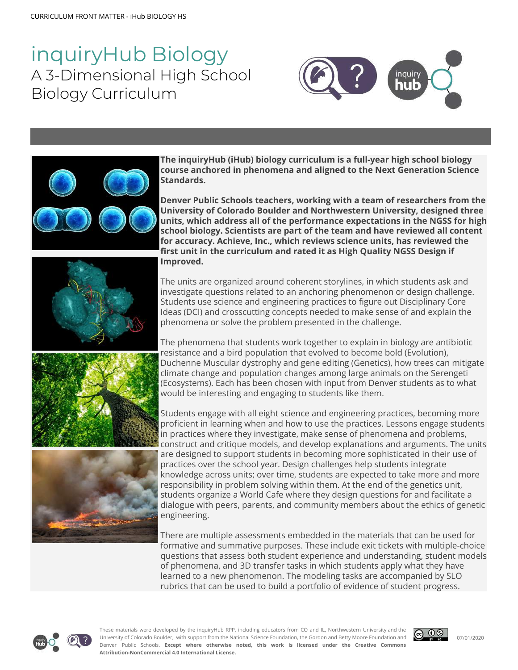# inquiryHub Biology A 3-Dimensional High School Biology Curriculum





**The inquiryHub (iHub) biology curriculum is a full-year high school biology course anchored in phenomena and aligned to the Next Generation Science Standards.**

**Denver Public Schools teachers, working with a team of researchers from the University of Colorado Boulder and Northwestern University, designed three units, which address all of the performance expectations in the NGSS for high school biology. Scientists are part of the team and have reviewed all content for accuracy. Achieve, Inc., which reviews science units, has reviewed the first unit in the curriculum and rated it as High Quality NGSS Design if Improved.**

The units are organized around coherent storylines, in which students ask and investigate questions related to an anchoring phenomenon or design challenge. Students use science and engineering practices to figure out Disciplinary Core Ideas (DCI) and crosscutting concepts needed to make sense of and explain the phenomena or solve the problem presented in the challenge.

The phenomena that students work together to explain in biology are antibiotic resistance and a bird population that evolved to become bold (Evolution), Duchenne Muscular dystrophy and gene editing (Genetics), how trees can mitigate climate change and population changes among large animals on the Serengeti (Ecosystems). Each has been chosen with input from Denver students as to what would be interesting and engaging to students like them.

Students engage with all eight science and engineering practices, becoming more proficient in learning when and how to use the practices. Lessons engage students in practices where they investigate, make sense of phenomena and problems, construct and critique models, and develop explanations and arguments. The units are designed to support students in becoming more sophisticated in their use of practices over the school year. Design challenges help students integrate knowledge across units; over time, students are expected to take more and more responsibility in problem solving within them. At the end of the genetics unit, students organize a World Cafe where they design questions for and facilitate a dialogue with peers, parents, and community members about the ethics of genetic engineering.

There are multiple assessments embedded in the materials that can be used for formative and summative purposes. These include exit tickets with multiple-choice questions that assess both student experience and understanding, student models of phenomena, and 3D transfer tasks in which students apply what they have learned to a new phenomenon. The modeling tasks are accompanied by SLO rubrics that can be used to build a portfolio of evidence of student progress.



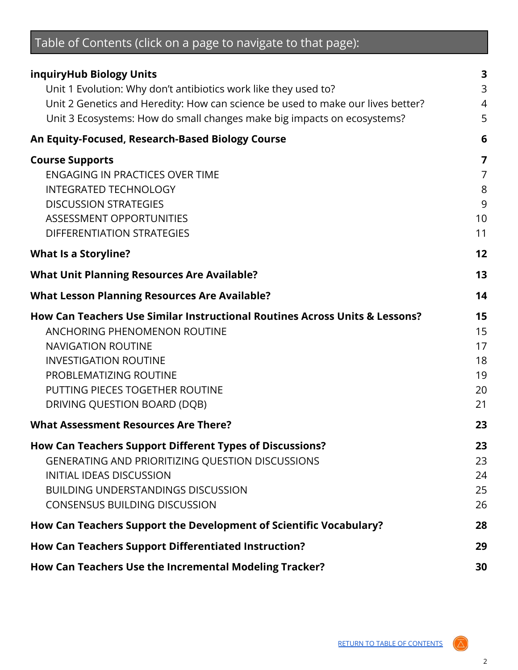<span id="page-1-0"></span>

| Table of Contents (click on a page to navigate to that page):                                                                                                                                                                                                         |                                        |  |  |
|-----------------------------------------------------------------------------------------------------------------------------------------------------------------------------------------------------------------------------------------------------------------------|----------------------------------------|--|--|
| inquiryHub Biology Units<br>Unit 1 Evolution: Why don't antibiotics work like they used to?<br>Unit 2 Genetics and Heredity: How can science be used to make our lives better?<br>Unit 3 Ecosystems: How do small changes make big impacts on ecosystems?             | 3<br>3<br>$\overline{4}$<br>5          |  |  |
| An Equity-Focused, Research-Based Biology Course                                                                                                                                                                                                                      | 6                                      |  |  |
| <b>Course Supports</b><br><b>ENGAGING IN PRACTICES OVER TIME</b><br><b>INTEGRATED TECHNOLOGY</b><br><b>DISCUSSION STRATEGIES</b><br>ASSESSMENT OPPORTUNITIES<br><b>DIFFERENTIATION STRATEGIES</b>                                                                     | 7<br>7<br>8<br>9<br>10<br>11           |  |  |
| <b>What Is a Storyline?</b>                                                                                                                                                                                                                                           | 12                                     |  |  |
| <b>What Unit Planning Resources Are Available?</b>                                                                                                                                                                                                                    | 13                                     |  |  |
| <b>What Lesson Planning Resources Are Available?</b>                                                                                                                                                                                                                  | 14                                     |  |  |
| How Can Teachers Use Similar Instructional Routines Across Units & Lessons?<br>ANCHORING PHENOMENON ROUTINE<br><b>NAVIGATION ROUTINE</b><br><b>INVESTIGATION ROUTINE</b><br>PROBLEMATIZING ROUTINE<br>PUTTING PIECES TOGETHER ROUTINE<br>DRIVING QUESTION BOARD (DQB) | 15<br>15<br>17<br>18<br>19<br>20<br>21 |  |  |
| <b>What Assessment Resources Are There?</b>                                                                                                                                                                                                                           | 23                                     |  |  |
| How Can Teachers Support Different Types of Discussions?<br><b>GENERATING AND PRIORITIZING QUESTION DISCUSSIONS</b><br><b>INITIAL IDEAS DISCUSSION</b><br><b>BUILDING UNDERSTANDINGS DISCUSSION</b><br><b>CONSENSUS BUILDING DISCUSSION</b>                           | 23<br>23<br>24<br>25<br>26             |  |  |
| How Can Teachers Support the Development of Scientific Vocabulary?                                                                                                                                                                                                    | 28                                     |  |  |
| How Can Teachers Support Differentiated Instruction?                                                                                                                                                                                                                  | 29                                     |  |  |
| How Can Teachers Use the Incremental Modeling Tracker?                                                                                                                                                                                                                | 30                                     |  |  |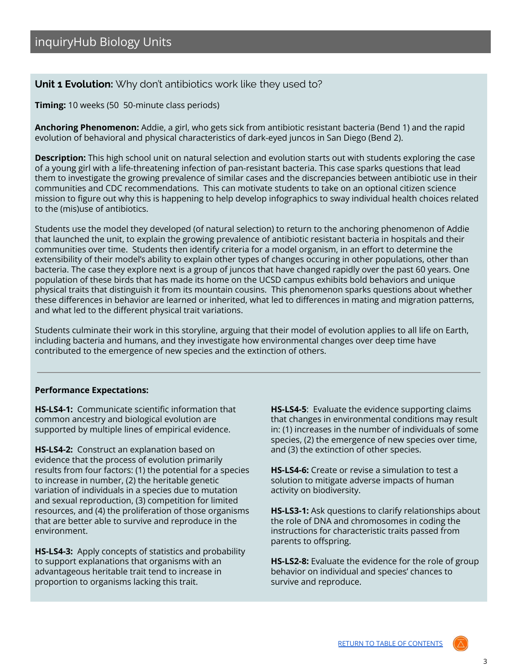# <span id="page-2-1"></span><span id="page-2-0"></span>**Unit 1 Evolution:** Why don't antibiotics work like they used to?

**Timing:** 10 weeks (50 50-minute class periods)

**Anchoring Phenomenon:** Addie, a girl, who gets sick from antibiotic resistant bacteria (Bend 1) and the rapid evolution of behavioral and physical characteristics of dark-eyed juncos in San Diego (Bend 2).

**Description:** This high school unit on natural selection and evolution starts out with students exploring the case of a young girl with a life-threatening infection of pan-resistant bacteria. This case sparks questions that lead them to investigate the growing prevalence of similar cases and the discrepancies between antibiotic use in their communities and CDC recommendations. This can motivate students to take on an optional citizen science mission to figure out why this is happening to help develop infographics to sway individual health choices related to the (mis)use of antibiotics.

Students use the model they developed (of natural selection) to return to the anchoring phenomenon of Addie that launched the unit, to explain the growing prevalence of antibiotic resistant bacteria in hospitals and their communities over time. Students then identify criteria for a model organism, in an effort to determine the extensibility of their model's ability to explain other types of changes occuring in other populations, other than bacteria. The case they explore next is a group of juncos that have changed rapidly over the past 60 years. One population of these birds that has made its home on the UCSD campus exhibits bold behaviors and unique physical traits that distinguish it from its mountain cousins. This phenomenon sparks questions about whether these differences in behavior are learned or inherited, what led to differences in mating and migration patterns, and what led to the different physical trait variations.

Students culminate their work in this storyline, arguing that their model of evolution applies to all life on Earth, including bacteria and humans, and they investigate how environmental changes over deep time have contributed to the emergence of new species and the extinction of others.

#### **Performance Expectations:**

**HS-LS4-1:** Communicate scientific information that common ancestry and biological evolution are supported by multiple lines of empirical evidence.

**HS-LS4-2:** Construct an explanation based on evidence that the process of evolution primarily results from four factors: (1) the potential for a species to increase in number, (2) the heritable genetic variation of individuals in a species due to mutation and sexual reproduction, (3) competition for limited resources, and (4) the proliferation of those organisms that are better able to survive and reproduce in the environment.

**HS-LS4-3:** Apply concepts of statistics and probability to support explanations that organisms with an advantageous heritable trait tend to increase in proportion to organisms lacking this trait.

**HS-LS4-5**: Evaluate the evidence supporting claims that changes in environmental conditions may result in: (1) increases in the number of individuals of some species, (2) the emergence of new species over time, and (3) the extinction of other species.

**HS-LS4-6:** Create or revise a simulation to test a solution to mitigate adverse impacts of human activity on biodiversity.

**HS-LS3-1:** Ask questions to clarify relationships about the role of DNA and chromosomes in coding the instructions for characteristic traits passed from parents to offspring.

**HS-LS2-8:** Evaluate the evidence for the role of group behavior on individual and species' chances to survive and reproduce.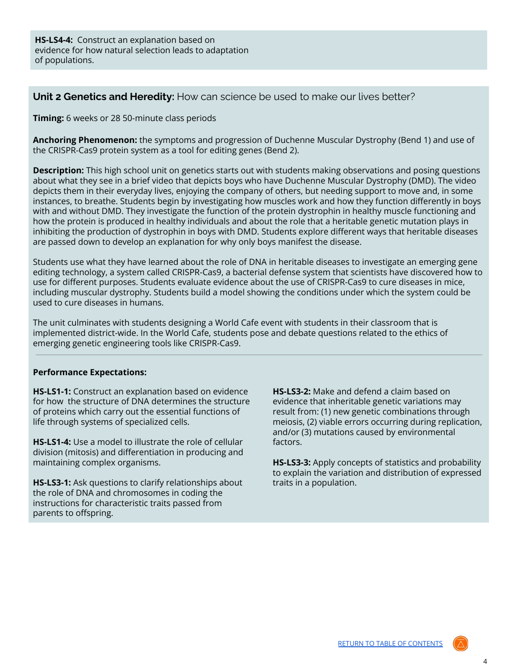**HS-LS4-4:** Construct an explanation based on evidence for how natural selection leads to adaptation of populations.

<span id="page-3-0"></span>**Unit 2 Genetics and Heredity:** How can science be used to make our lives better?

**Timing:** 6 weeks or 28 50-minute class periods

**Anchoring Phenomenon:** the symptoms and progression of Duchenne Muscular Dystrophy (Bend 1) and use of the CRISPR-Cas9 protein system as a tool for editing genes (Bend 2).

**Description:** This high school unit on genetics starts out with students making observations and posing questions about what they see in a brief video that depicts boys who have Duchenne Muscular Dystrophy (DMD). The video depicts them in their everyday lives, enjoying the company of others, but needing support to move and, in some instances, to breathe. Students begin by investigating how muscles work and how they function differently in boys with and without DMD. They investigate the function of the protein dystrophin in healthy muscle functioning and how the protein is produced in healthy individuals and about the role that a heritable genetic mutation plays in inhibiting the production of dystrophin in boys with DMD. Students explore different ways that heritable diseases are passed down to develop an explanation for why only boys manifest the disease.

Students use what they have learned about the role of DNA in heritable diseases to investigate an emerging gene editing technology, a system called CRISPR-Cas9, a bacterial defense system that scientists have discovered how to use for different purposes. Students evaluate evidence about the use of CRISPR-Cas9 to cure diseases in mice, including muscular dystrophy. Students build a model showing the conditions under which the system could be used to cure diseases in humans.

The unit culminates with students designing a World Cafe event with students in their classroom that is implemented district-wide. In the World Cafe, students pose and debate questions related to the ethics of emerging genetic engineering tools like CRISPR-Cas9.

#### **Performance Expectations:**

**HS-LS1-1:** Construct an explanation based on evidence for how the structure of DNA determines the structure of proteins which carry out the essential functions of life through systems of specialized cells.

**HS-LS1-4:** Use a model to illustrate the role of cellular division (mitosis) and differentiation in producing and maintaining complex organisms.

**HS-LS3-1:** Ask questions to clarify relationships about the role of DNA and chromosomes in coding the instructions for characteristic traits passed from parents to offspring.

**HS-LS3-2:** Make and defend a claim based on evidence that inheritable genetic variations may result from: (1) new genetic combinations through meiosis, (2) viable errors occurring during replication, and/or (3) mutations caused by environmental factors.

**HS-LS3-3:** Apply concepts of statistics and probability to explain the variation and distribution of expressed traits in a population.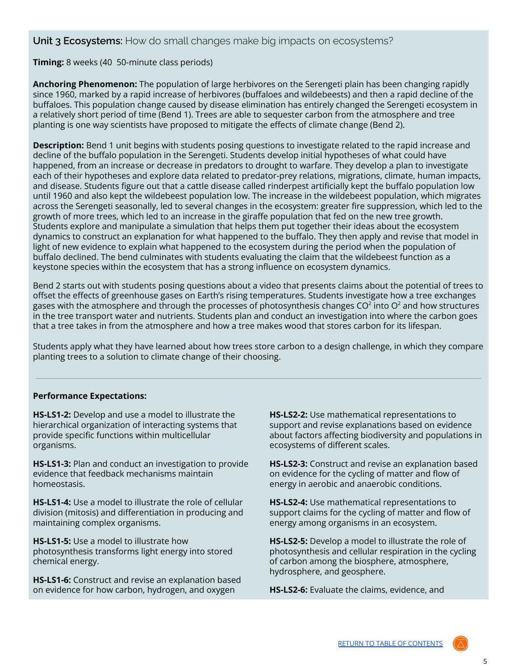<span id="page-4-0"></span>**Unit 3 Ecosystems:** How do small changes make big impacts on ecosystems?

**Timing:** 8 weeks (40 50-minute class periods)

**Anchoring Phenomenon:** The population of large herbivores on the Serengeti plain has been changing rapidly since 1960, marked by a rapid increase of herbivores (buffaloes and wildebeests) and then a rapid decline of the buffaloes. This population change caused by disease elimination has entirely changed the Serengeti ecosystem in a relatively short period of time (Bend 1). Trees are able to sequester carbon from the atmosphere and tree planting is one way scientists have proposed to mitigate the effects of climate change (Bend 2).

**Description:** Bend 1 unit begins with students posing questions to investigate related to the rapid increase and decline of the buffalo population in the Serengeti. Students develop initial hypotheses of what could have happened, from an increase or decrease in predators to drought to warfare. They develop a plan to investigate each of their hypotheses and explore data related to predator-prey relations, migrations, climate, human impacts, and disease. Students figure out that a cattle disease called rinderpest artificially kept the buffalo population low until 1960 and also kept the wildebeest population low. The increase in the wildebeest population, which migrates across the Serengeti seasonally, led to several changes in the ecosystem: greater fire suppression, which led to the growth of more trees, which led to an increase in the giraffe population that fed on the new tree growth. Students explore and manipulate a simulation that helps them put together their ideas about the ecosystem dynamics to construct an explanation for what happened to the buffalo. They then apply and revise that model in light of new evidence to explain what happened to the ecosystem during the period when the population of buffalo declined. The bend culminates with students evaluating the claim that the wildebeest function as a keystone species within the ecosystem that has a strong influence on ecosystem dynamics.

Bend 2 starts out with students posing questions about a video that presents claims about the potential of trees to offset the effects of greenhouse gases on Earth's rising temperatures. Students investigate how a tree exchanges gases with the atmosphere and through the processes of photosynthesis changes CO $^2$  into O $^2$  and how structures in the tree transport water and nutrients. Students plan and conduct an investigation into where the carbon goes that a tree takes in from the atmosphere and how a tree makes wood that stores carbon for its lifespan.

Students apply what they have learned about how trees store carbon to a design challenge, in which they compare planting trees to a solution to climate change of their choosing.

#### **Performance Expectations:**

**HS-LS1-2:** Develop and use a model to illustrate the hierarchical organization of interacting systems that provide specific functions within multicellular organisms.

**HS-LS1-3:** Plan and conduct an investigation to provide evidence that feedback mechanisms maintain homeostasis.

**HS-LS1-4:** Use a model to illustrate the role of cellular division (mitosis) and differentiation in producing and maintaining complex organisms.

**HS-LS1-5:** Use a model to illustrate how photosynthesis transforms light energy into stored chemical energy.

**HS-LS1-6:** Construct and revise an explanation based on evidence for how carbon, hydrogen, and oxygen

**HS-LS2-2:** Use mathematical representations to support and revise explanations based on evidence about factors affecting biodiversity and populations in ecosystems of different scales.

**HS-LS2-3:** Construct and revise an explanation based on evidence for the cycling of matter and flow of energy in aerobic and anaerobic conditions.

**HS-LS2-4:** Use mathematical representations to support claims for the cycling of matter and flow of energy among organisms in an ecosystem.

**HS-LS2-5:** Develop a model to illustrate the role of photosynthesis and cellular respiration in the cycling of carbon among the biosphere, atmosphere, hydrosphere, and geosphere.

**HS-LS2-6:** Evaluate the claims, evidence, and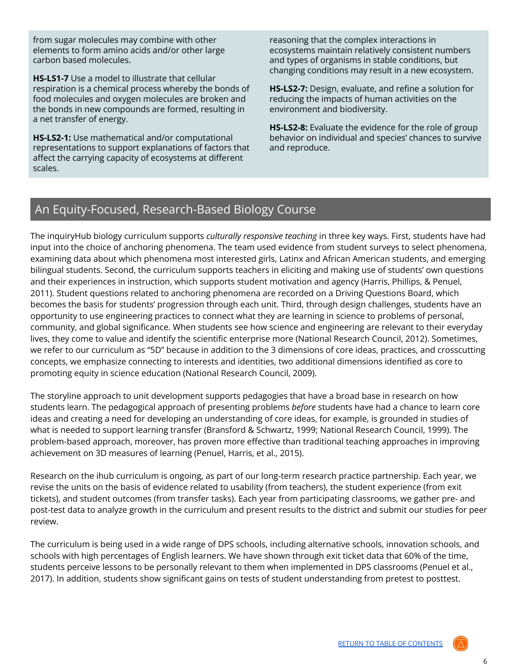from sugar molecules may combine with other elements to form amino acids and/or other large carbon based molecules.

**HS-LS1-7** Use a model to illustrate that cellular respiration is a chemical process whereby the bonds of food molecules and oxygen molecules are broken and the bonds in new compounds are formed, resulting in a net transfer of energy.

**HS-LS2-1:** Use mathematical and/or computational representations to support explanations of factors that affect the carrying capacity of ecosystems at different scales.

reasoning that the complex interactions in ecosystems maintain relatively consistent numbers and types of organisms in stable conditions, but changing conditions may result in a new ecosystem.

**HS-LS2-7:** Design, evaluate, and refine a solution for reducing the impacts of human activities on the environment and biodiversity.

**HS-LS2-8:** Evaluate the evidence for the role of group behavior on individual and species' chances to survive and reproduce.

# <span id="page-5-0"></span>An Equity-Focused, Research-Based Biology Course

The inquiryHub biology curriculum supports *culturally responsive teaching* in three key ways. First, students have had input into the choice of anchoring phenomena. The team used evidence from student surveys to select phenomena, examining data about which phenomena most interested girls, Latinx and African American students, and emerging bilingual students. Second, the curriculum supports teachers in eliciting and making use of students' own questions and their experiences in instruction, which supports student motivation and agency (Harris, Phillips, & Penuel, 2011). Student questions related to anchoring phenomena are recorded on a Driving Questions Board, which becomes the basis for students' progression through each unit. Third, through design challenges, students have an opportunity to use engineering practices to connect what they are learning in science to problems of personal, community, and global significance. When students see how science and engineering are relevant to their everyday lives, they come to value and identify the scientific enterprise more (National Research Council, 2012). Sometimes, we refer to our curriculum as "5D" because in addition to the 3 dimensions of core ideas, practices, and crosscutting concepts, we emphasize connecting to interests and identities, two additional dimensions identified as core to promoting equity in science education (National Research Council, 2009).

The storyline approach to unit development supports pedagogies that have a broad base in research on how students learn. The pedagogical approach of presenting problems *before* students have had a chance to learn core ideas and creating a need for developing an understanding of core ideas, for example, is grounded in studies of what is needed to support learning transfer (Bransford & Schwartz, 1999; National Research Council, 1999). The problem-based approach, moreover, has proven more effective than traditional teaching approaches in improving achievement on 3D measures of learning (Penuel, Harris, et al., 2015).

Research on the ihub curriculum is ongoing, as part of our long-term research practice partnership. Each year, we revise the units on the basis of evidence related to usability (from teachers), the student experience (from exit tickets), and student outcomes (from transfer tasks). Each year from participating classrooms, we gather pre- and post-test data to analyze growth in the curriculum and present results to the district and submit our studies for peer review.

The curriculum is being used in a wide range of DPS schools, including alternative schools, innovation schools, and schools with high percentages of English learners. We have shown through exit ticket data that 60% of the time, students perceive lessons to be personally relevant to them when implemented in DPS classrooms (Penuel et al., 2017). In addition, students show significant gains on tests of student understanding from pretest to posttest.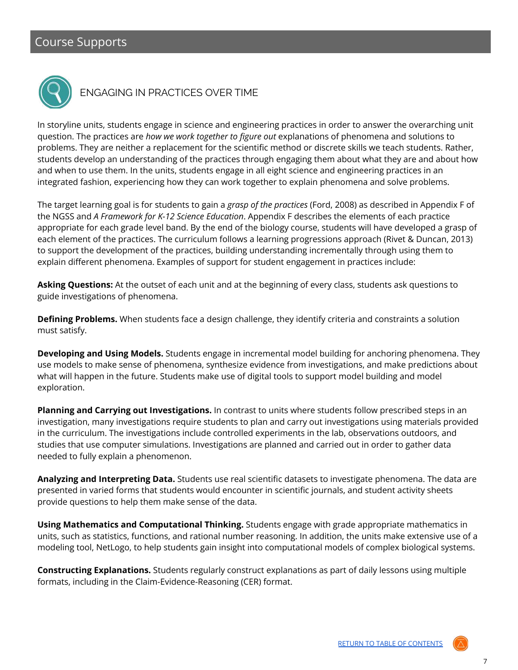<span id="page-6-0"></span>

# <span id="page-6-1"></span>ENGAGING IN PRACTICES OVER TIME

In storyline units, students engage in science and engineering practices in order to answer the overarching unit question. The practices are *how we work together to figure out* explanations of phenomena and solutions to problems. They are neither a replacement for the scientific method or discrete skills we teach students. Rather, students develop an understanding of the practices through engaging them about what they are and about how and when to use them. In the units, students engage in all eight science and engineering practices in an integrated fashion, experiencing how they can work together to explain phenomena and solve problems.

The target learning goal is for students to gain a *grasp of the practices* (Ford, 2008) as described in Appendix F of the NGSS and *A Framework for K-12 Science Education*. Appendix F describes the elements of each practice appropriate for each grade level band. By the end of the biology course, students will have developed a grasp of each element of the practices. The curriculum follows a learning progressions approach (Rivet & Duncan, 2013) to support the development of the practices, building understanding incrementally through using them to explain different phenomena. Examples of support for student engagement in practices include:

**Asking Questions:** At the outset of each unit and at the beginning of every class, students ask questions to guide investigations of phenomena.

**Defining Problems.** When students face a design challenge, they identify criteria and constraints a solution must satisfy.

**Developing and Using Models.** Students engage in incremental model building for anchoring phenomena. They use models to make sense of phenomena, synthesize evidence from investigations, and make predictions about what will happen in the future. Students make use of digital tools to support model building and model exploration.

**Planning and Carrying out Investigations.** In contrast to units where students follow prescribed steps in an investigation, many investigations require students to plan and carry out investigations using materials provided in the curriculum. The investigations include controlled experiments in the lab, observations outdoors, and studies that use computer simulations. Investigations are planned and carried out in order to gather data needed to fully explain a phenomenon.

**Analyzing and Interpreting Data.** Students use real scientific datasets to investigate phenomena. The data are presented in varied forms that students would encounter in scientific journals, and student activity sheets provide questions to help them make sense of the data.

**Using Mathematics and Computational Thinking.** Students engage with grade appropriate mathematics in units, such as statistics, functions, and rational number reasoning. In addition, the units make extensive use of a modeling tool, NetLogo, to help students gain insight into computational models of complex biological systems.

**Constructing Explanations.** Students regularly construct explanations as part of daily lessons using multiple formats, including in the Claim-Evidence-Reasoning (CER) format.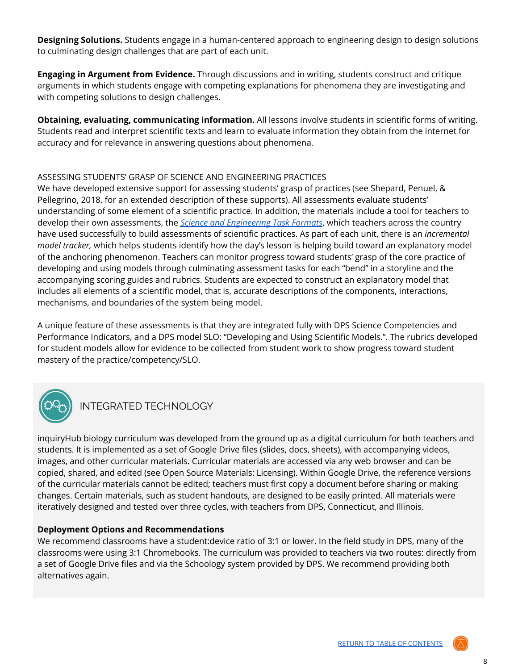**Designing Solutions.** Students engage in a human-centered approach to engineering design to design solutions to culminating design challenges that are part of each unit.

**Engaging in Argument from Evidence.** Through discussions and in writing, students construct and critique arguments in which students engage with competing explanations for phenomena they are investigating and with competing solutions to design challenges.

**Obtaining, evaluating, communicating information.** All lessons involve students in scientific forms of writing. Students read and interpret scientific texts and learn to evaluate information they obtain from the internet for accuracy and for relevance in answering questions about phenomena.

#### ASSESSING STUDENTS' GRASP OF SCIENCE AND ENGINEERING PRACTICES

We have developed extensive support for assessing students' grasp of practices (see Shepard, Penuel, & Pellegrino, 2018, for an extended description of these supports). All assessments evaluate students' understanding of some element of a scientific practice. In addition, the materials include a tool for teachers to develop their own assessments, the *Science and [Engineering](http://stemteachingtools.org/brief/30) Task Formats*, which teachers across the country have used successfully to build assessments of scientific practices. As part of each unit, there is an *incremental model tracker,* which helps students identify how the day's lesson is helping build toward an explanatory model of the anchoring phenomenon. Teachers can monitor progress toward students' grasp of the core practice of developing and using models through culminating assessment tasks for each "bend" in a storyline and the accompanying scoring guides and rubrics. Students are expected to construct an explanatory model that includes all elements of a scientific model, that is, accurate descriptions of the components, interactions, mechanisms, and boundaries of the system being model.

A unique feature of these assessments is that they are integrated fully with DPS Science Competencies and Performance Indicators, and a DPS model SLO: "Developing and Using Scientific Models.". The rubrics developed for student models allow for evidence to be collected from student work to show progress toward student mastery of the practice/competency/SLO.



# <span id="page-7-0"></span>INTEGRATED TECHNOLOGY

inquiryHub biology curriculum was developed from the ground up as a digital curriculum for both teachers and students. It is implemented as a set of Google Drive files (slides, docs, sheets), with accompanying videos, images, and other curricular materials. Curricular materials are accessed via any web browser and can be copied, shared, and edited (see Open Source Materials: Licensing). Within Google Drive, the reference versions of the curricular materials cannot be edited; teachers must first copy a document before sharing or making changes. Certain materials, such as student handouts, are designed to be easily printed. All materials were iteratively designed and tested over three cycles, with teachers from DPS, Connecticut, and Illinois.

#### **Deployment Options and Recommendations**

We recommend classrooms have a student:device ratio of 3:1 or lower. In the field study in DPS, many of the classrooms were using 3:1 Chromebooks. The curriculum was provided to teachers via two routes: directly from a set of Google Drive files and via the Schoology system provided by DPS. We recommend providing both alternatives again.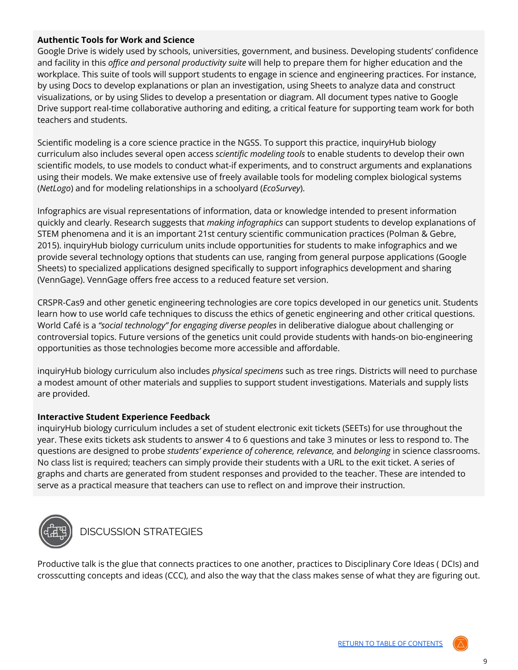### **Authentic Tools for Work and Science**

Google Drive is widely used by schools, universities, government, and business. Developing students' confidence and facility in this *office and personal productivity suite* will help to prepare them for higher education and the workplace. This suite of tools will support students to engage in science and engineering practices. For instance, by using Docs to develop explanations or plan an investigation, using Sheets to analyze data and construct visualizations, or by using Slides to develop a presentation or diagram. All document types native to Google Drive support real-time collaborative authoring and editing, a critical feature for supporting team work for both teachers and students.

Scientific modeling is a core science practice in the NGSS. To support this practice, inquiryHub biology curriculum also includes several open access *scientific modeling tools* to enable students to develop their own scientific models, to use models to conduct what-if experiments, and to construct arguments and explanations using their models. We make extensive use of freely available tools for modeling complex biological systems (*NetLogo*) and for modeling relationships in a schoolyard (*EcoSurvey*).

Infographics are visual representations of information, data or knowledge intended to present information quickly and clearly. Research suggests that *making infographics* can support students to develop explanations of STEM phenomena and it is an important 21st century scientific communication practices (Polman & Gebre, 2015). inquiryHub biology curriculum units include opportunities for students to make infographics and we provide several technology options that students can use, ranging from general purpose applications (Google Sheets) to specialized applications designed specifically to support infographics development and sharing (VennGage). VennGage offers free access to a reduced feature set version.

CRSPR-Cas9 and other genetic engineering technologies are core topics developed in our genetics unit. Students learn how to use world cafe techniques to discuss the ethics of genetic engineering and other critical questions. World Café is a *"social technology" for engaging diverse peoples* in deliberative dialogue about challenging or controversial topics. Future versions of the genetics unit could provide students with hands-on bio-engineering opportunities as those technologies become more accessible and affordable.

inquiryHub biology curriculum also includes *physical specimens* such as tree rings. Districts will need to purchase a modest amount of other materials and supplies to support student investigations. Materials and supply lists are provided.

#### **Interactive Student Experience Feedback**

inquiryHub biology curriculum includes a set of student electronic exit tickets (SEETs) for use throughout the year. These exits tickets ask students to answer 4 to 6 questions and take 3 minutes or less to respond to. The questions are designed to probe *students' experience of coherence, relevance,* and *belonging* in science classrooms. No class list is required; teachers can simply provide their students with a URL to the exit ticket. A series of graphs and charts are generated from student responses and provided to the teacher. These are intended to serve as a practical measure that teachers can use to reflect on and improve their instruction.



<span id="page-8-0"></span>DISCUSSION STRATEGIES

Productive talk is the glue that connects practices to one another, practices to Disciplinary Core Ideas ( DCIs) and crosscutting concepts and ideas (CCC), and also the way that the class makes sense of what they are figuring out.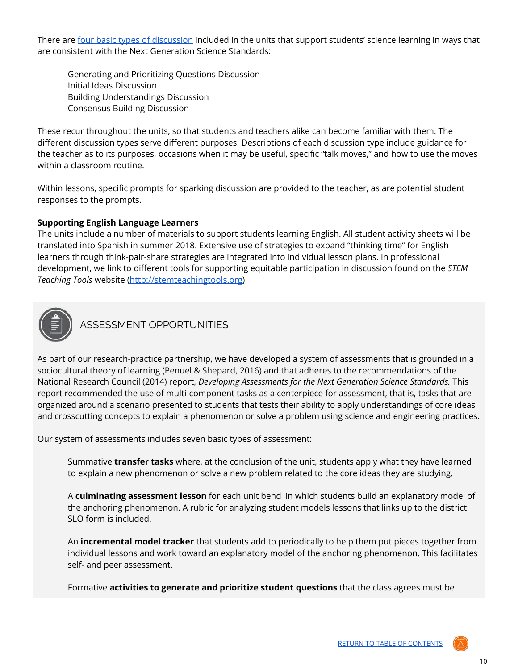There are four basic types of [discussion](https://docs.google.com/document/d/1I3iPwRH4Iw3PCMKsaxu_flU6HSH821rc-iFcVY0xsEk/edit) included in the units that support students' science learning in ways that are consistent with the Next Generation Science Standards:

Generating and Prioritizing Questions Discussion Initial Ideas Discussion Building Understandings Discussion Consensus Building Discussion

These recur throughout the units, so that students and teachers alike can become familiar with them. The different discussion types serve different purposes. Descriptions of each discussion type include guidance for the teacher as to its purposes, occasions when it may be useful, specific "talk moves," and how to use the moves within a classroom routine.

Within lessons, specific prompts for sparking discussion are provided to the teacher, as are potential student responses to the prompts.

#### **Supporting English Language Learners**

The units include a number of materials to support students learning English. All student activity sheets will be translated into Spanish in summer 2018. Extensive use of strategies to expand "thinking time" for English learners through think-pair-share strategies are integrated into individual lesson plans. In professional development, we link to different tools for supporting equitable participation in discussion found on the *STEM Teaching Tools* website [\(http://stemteachingtools.org\)](http://stemteachingtools.org).



<span id="page-9-0"></span>ASSESSMENT OPPORTUNITIES

As part of our research-practice partnership, we have developed a system of assessments that is grounded in a sociocultural theory of learning (Penuel & Shepard, 2016) and that adheres to the recommendations of the National Research Council (2014) report, *Developing Assessments for the Next Generation Science Standards.* This report recommended the use of multi-component tasks as a centerpiece for assessment, that is, tasks that are organized around a scenario presented to students that tests their ability to apply understandings of core ideas and crosscutting concepts to explain a phenomenon or solve a problem using science and engineering practices.

Our system of assessments includes seven basic types of assessment:

Summative **transfer tasks** where, at the conclusion of the unit, students apply what they have learned to explain a new phenomenon or solve a new problem related to the core ideas they are studying.

A **culminating assessment lesson** for each unit bend in which students build an explanatory model of the anchoring phenomenon. A rubric for analyzing student models lessons that links up to the district SLO form is included.

An **incremental model tracker** that students add to periodically to help them put pieces together from individual lessons and work toward an explanatory model of the anchoring phenomenon. This facilitates self- and peer assessment.

Formative **activities to generate and prioritize student questions** that the class agrees must be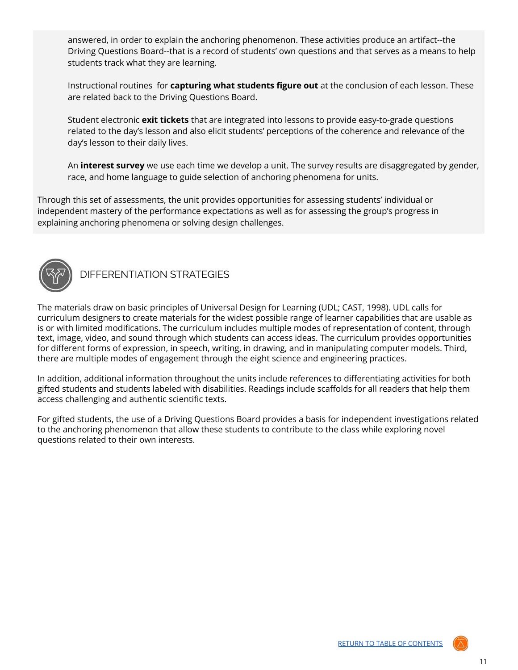answered, in order to explain the anchoring phenomenon. These activities produce an artifact--the Driving Questions Board--that is a record of students' own questions and that serves as a means to help students track what they are learning.

Instructional routines for **capturing what students figure out** at the conclusion of each lesson. These are related back to the Driving Questions Board.

Student electronic **exit tickets** that are integrated into lessons to provide easy-to-grade questions related to the day's lesson and also elicit students' perceptions of the coherence and relevance of the day's lesson to their daily lives.

An **interest survey** we use each time we develop a unit. The survey results are disaggregated by gender, race, and home language to guide selection of anchoring phenomena for units.

Through this set of assessments, the unit provides opportunities for assessing students' individual or independent mastery of the performance expectations as well as for assessing the group's progress in explaining anchoring phenomena or solving design challenges.



<span id="page-10-0"></span>DIFFERENTIATION STRATEGIES

The materials draw on basic principles of Universal Design for Learning (UDL; CAST, 1998). UDL calls for curriculum designers to create materials for the widest possible range of learner capabilities that are usable as is or with limited modifications. The curriculum includes multiple modes of representation of content, through text, image, video, and sound through which students can access ideas. The curriculum provides opportunities for different forms of expression, in speech, writing, in drawing, and in manipulating computer models. Third, there are multiple modes of engagement through the eight science and engineering practices.

In addition, additional information throughout the units include references to differentiating activities for both gifted students and students labeled with disabilities. Readings include scaffolds for all readers that help them access challenging and authentic scientific texts.

For gifted students, the use of a Driving Questions Board provides a basis for independent investigations related to the anchoring phenomenon that allow these students to contribute to the class while exploring novel questions related to their own interests.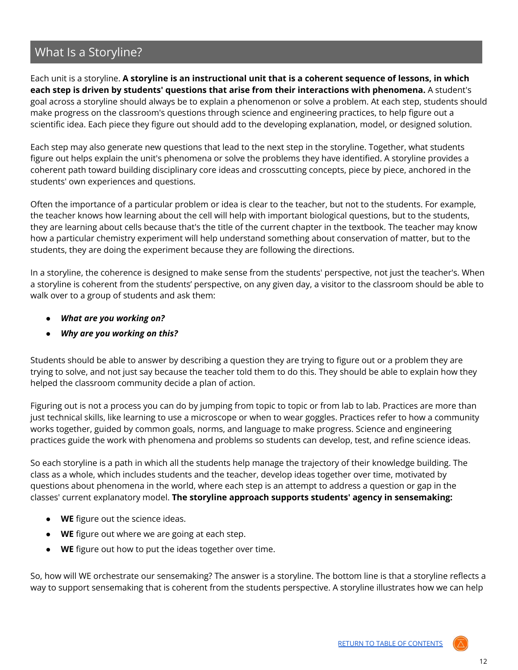# <span id="page-11-0"></span>What Is a Storyline?

Each unit is a storyline. **A storyline is an instructional unit that is a coherent sequence of lessons, in which each step is driven by students' questions that arise from their interactions with phenomena.** A student's goal across a storyline should always be to explain a phenomenon or solve a problem. At each step, students should make progress on the classroom's questions through science and engineering practices, to help figure out a scientific idea. Each piece they figure out should add to the developing explanation, model, or designed solution.

Each step may also generate new questions that lead to the next step in the storyline. Together, what students figure out helps explain the unit's phenomena or solve the problems they have identified. A storyline provides a coherent path toward building disciplinary core ideas and crosscutting concepts, piece by piece, anchored in the students' own experiences and questions.

Often the importance of a particular problem or idea is clear to the teacher, but not to the students. For example, the teacher knows how learning about the cell will help with important biological questions, but to the students, they are learning about cells because that's the title of the current chapter in the textbook. The teacher may know how a particular chemistry experiment will help understand something about conservation of matter, but to the students, they are doing the experiment because they are following the directions.

In a storyline, the coherence is designed to make sense from the students' perspective, not just the teacher's. When a storyline is coherent from the students' perspective, on any given day, a visitor to the classroom should be able to walk over to a group of students and ask them:

- *● What are you working on?*
- *● Why are you working on this?*

Students should be able to answer by describing a question they are trying to figure out or a problem they are trying to solve, and not just say because the teacher told them to do this. They should be able to explain how they helped the classroom community decide a plan of action.

Figuring out is not a process you can do by jumping from topic to topic or from lab to lab. Practices are more than just technical skills, like learning to use a microscope or when to wear goggles. Practices refer to how a community works together, guided by common goals, norms, and language to make progress. Science and engineering practices guide the work with phenomena and problems so students can develop, test, and refine science ideas.

So each storyline is a path in which all the students help manage the trajectory of their knowledge building. The class as a whole, which includes students and the teacher, develop ideas together over time, motivated by questions about phenomena in the world, where each step is an attempt to address a question or gap in the classes' current explanatory model. **The storyline approach supports students' agency in sensemaking:**

- **WE** figure out the science ideas.
- **WE** figure out where we are going at each step.
- **WE** figure out how to put the ideas together over time.

So, how will WE orchestrate our sensemaking? The answer is a storyline. The bottom line is that a storyline reflects a way to support sensemaking that is coherent from the students perspective. A storyline illustrates how we can help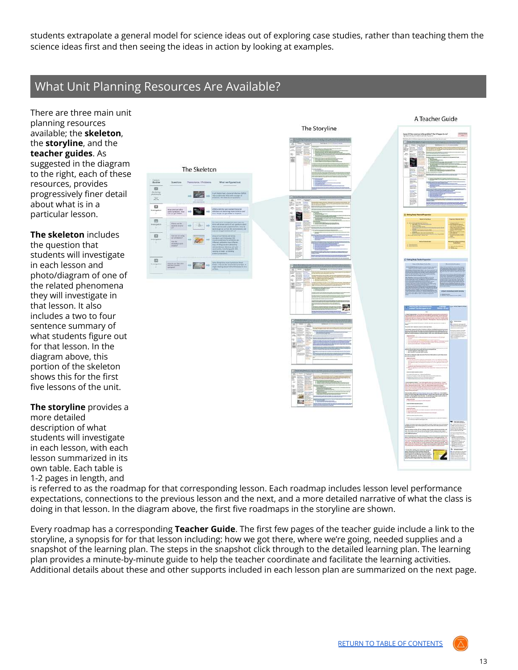students extrapolate a general model for science ideas out of exploring case studies, rather than teaching them the science ideas first and then seeing the ideas in action by looking at examples.

# <span id="page-12-0"></span>What Unit Planning Resources Are Available?

医门关 e, 思

There are three main unit planning resources available; the **skeleton**, the **storyline**, and the **teacher guides**. As suggested in the diagram to the right, each of these resources, provides progressively finer detail about what is in a particular lesson.

**The skeleton** includes the question that students will investigate in each lesson and photo/diagram of one of the related phenomena they will investigate in that lesson. It also includes a two to four sentence summary of what students figure out for that lesson. In the diagram above, this portion of the skeleton shows this for the first five lessons of the unit.

**The storyline** provides a more detailed description of what students will investigate in each lesson, with each lesson summarized in its own table. Each table is 1-2 pages in length, and

The Skeleton





is referred to as the roadmap for that corresponding lesson. Each roadmap includes lesson level performance expectations, connections to the previous lesson and the next, and a more detailed narrative of what the class is doing in that lesson. In the diagram above, the first five roadmaps in the storyline are shown.

Every roadmap has a corresponding **Teacher Guide**. The first few pages of the teacher guide include a link to the storyline, a synopsis for for that lesson including: how we got there, where we're going, needed supplies and a snapshot of the learning plan. The steps in the snapshot click through to the detailed learning plan. The learning plan provides a minute-by-minute guide to help the teacher coordinate and facilitate the learning activities. Additional details about these and other supports included in each lesson plan are summarized on the next page.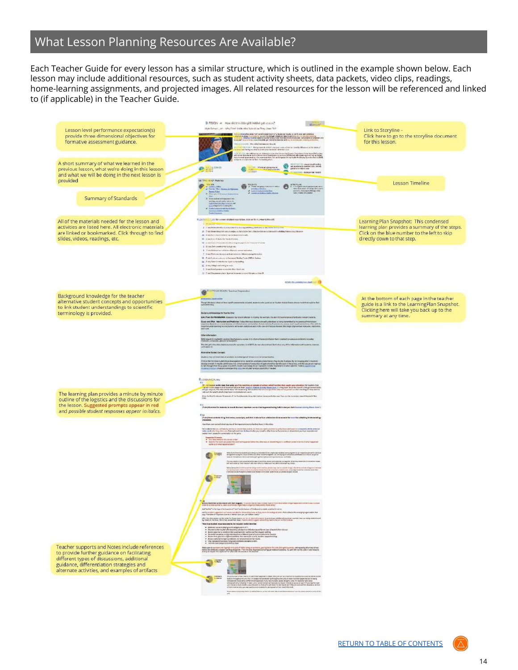# <span id="page-13-0"></span>What Lesson Planning Resources Are Available?

Each Teacher Guide for every lesson has a similar structure, which is outlined in the example shown below. Each lesson may include additional resources, such as student activity sheets, data packets, video clips, readings, home-learning assignments, and projected images. All related resources for the lesson will be referenced and linked to (if applicable) in the Teacher Guide.

|                                                                                                                                                                                                       | DIESSON #L. How dict this title girl Pobler gat reason?<br>atimare-                                                                                                                                                                                                                                                                                                                                                                                                                                                                                                                                                                                                                                                                                                                                                                                                                                                                                                                                                                                                                                                                                                                                                                                                                                                                                                                                                                                                                                                                                                                                                                                                 |                                                                                                                                                                         |
|-------------------------------------------------------------------------------------------------------------------------------------------------------------------------------------------------------|---------------------------------------------------------------------------------------------------------------------------------------------------------------------------------------------------------------------------------------------------------------------------------------------------------------------------------------------------------------------------------------------------------------------------------------------------------------------------------------------------------------------------------------------------------------------------------------------------------------------------------------------------------------------------------------------------------------------------------------------------------------------------------------------------------------------------------------------------------------------------------------------------------------------------------------------------------------------------------------------------------------------------------------------------------------------------------------------------------------------------------------------------------------------------------------------------------------------------------------------------------------------------------------------------------------------------------------------------------------------------------------------------------------------------------------------------------------------------------------------------------------------------------------------------------------------------------------------------------------------------------------------------------------------|-------------------------------------------------------------------------------------------------------------------------------------------------------------------------|
| Lesson level performance expectation(s)<br>provide three dimensional objectives for<br>formative assessment guidance.                                                                                 | High School, Jain, Why Don't Artific Stick Work Live They Used 747<br>i i su veloce durante forzetante controlator i concerta mais la car fu est indicata.<br>En 1970, e por l'activitat a mais l'original de la característica del si est indicata est internacional.<br>Le professor de la característic<br>Mined houseket of a statement of a<br>. The fit of the fight provide in which can analyse to allow the interfacilities and although of the spatial                                                                                                                                                                                                                                                                                                                                                                                                                                                                                                                                                                                                                                                                                                                                                                                                                                                                                                                                                                                                                                                                                                                                                                                                    | Link to Storyline -<br>Click here to go to the storyline document<br>for this lesson.                                                                                   |
| A short summary of what we learned in the<br>previous lesson, what we're doing in this lesson<br>and what we will be doing in the next lesson is<br>provided                                          | .<br>1979) - de alfonsivere diference tractat for la constant la Court Complete forming (TC), citer<br>1979 - Constant de la companion de la filippin des services alfonsat qui constant la général (<br>1979) - constant de la compani<br><b>Experience of the contract of the contract of the contract of the contract of the contract of the contract of the contract of the contract of the contract of the contract of the contract of the contract of the contract of</b><br><b>B</b> mill<br><b>DANA</b><br>$\overline{}$<br>GETTING TO APPLINATIONS<br>That Are<br>14 Eastern March 21                                                                                                                                                                                                                                                                                                                                                                                                                                                                                                                                                                                                                                                                                                                                                                                                                                                                                                                                                                                                                                                                      | Lesson Timeline                                                                                                                                                         |
| Summary of Standards                                                                                                                                                                                  | $\bullet$ , $\bullet$ , $\bullet$ , $\bullet$ , $\bullet$ , $\bullet$<br>2 Marquista<br>$\begin{tabular}{ c c c c } \hline \multicolumn{3}{ c }{\textbf{2}} & \multicolumn{3}{ c }{\textbf{3}} & \multicolumn{3}{ c }{\textbf{4}} & \multicolumn{3}{ c }{\textbf{5}} & \multicolumn{3}{ c }{\textbf{6}} & \multicolumn{3}{ c }{\textbf{6}} & \multicolumn{3}{ c }{\textbf{6}} & \multicolumn{3}{ c }{\textbf{6}} & \multicolumn{3}{ c }{\textbf{6}} & \multicolumn{3}{ c }{\textbf{6}} & \multicolumn{3}{ c }{\textbf{6}} & \multic$                                                                                                                                                                                                                                                                                                                                                                                                                                                                                                                                                                                                                                                                                                                                                                                                                                                                                                                                                                                                                                                                                                                                |                                                                                                                                                                         |
| All of the materials needed for the lesson and<br>activities are listed here. All electronic materials<br>are linked or bookmarked. Click through to find<br>slides, videos, readings, etc.           | <b>Rettage Website</b><br>TLEATH A CONTRACTOR AND IN A CONTRACTOR IN A STATE IN A STATE OF A STATE OF A STATE OF A STATE OF A STATE OF A<br>2 PACKAGEMAL COLOREY CONTRACTOR CONTRACTOR PROFILE<br>28 Thus be entity this countries as intrigent for a disclor Colorado de tractive below from a surface on<br><b>IL Andrés in complete président par les</b><br>46 Insurance in terms of the transmission.<br>U p.million feature et distribuire per la de "tenue a'une<br>. In this constitute is consecutively during or less<br>2 7 millules for risks are durch a margalaxies.<br>2 Aug National Acoust a figure and contribution and the main.<br>M. California suiz en la basea et Bathe Tada (MSA: baker<br>30 Antifaccional con Granadesales<br>100 - 17 min. his big in and a remain for enable<br>3 Bad bridgepun a modes den Abrican<br>Results and the construction of the property of the U.S.                                                                                                                                                                                                                                                                                                                                                                                                                                                                                                                                                                                                                                                                                                                                                         | Learning Plan Snapshot: This condensed<br>learning plan provides a summary of the steps.<br>Click on the blue number to the left to skip<br>directly down to that step. |
|                                                                                                                                                                                                       | <b>SCRAN TO LOAD RIVERAL SWATER TO</b>                                                                                                                                                                                                                                                                                                                                                                                                                                                                                                                                                                                                                                                                                                                                                                                                                                                                                                                                                                                                                                                                                                                                                                                                                                                                                                                                                                                                                                                                                                                                                                                                                              |                                                                                                                                                                         |
| Background knowledge for the teacher<br>alternative student concepts and opportunities<br>to link student understandings to scientific<br>terminology is provided.                                    | <b>Control of ADV</b> Teacher Departies<br>Though this boxer descript fore<br>constitutions<br><b>Bulletin and Riversings for That Ne Only</b><br>Link C from the FAANDVOKK Associate by related advocate to manner. An exercise, it is sent to the energy procedured by the last actual process.<br>Coast and Sheet Allocations and Production Computational distant provided at the system of the Sheet and the Computations of the Computations of the Computations of the Computations of the Computations of the Computations                                                                                                                                                                                                                                                                                                                                                                                                                                                                                                                                                                                                                                                                                                                                                                                                                                                                                                                                                                                                                                                                                                                                  | At the bottom of each page in the teacher<br>guide is a link to the LearningPlan Snapshot.<br>Clicking here will take you back up to the<br>summary at any time.        |
|                                                                                                                                                                                                       | <b>City information</b><br>M64 sandrite metallif resizes lägitykosmi annu. Eli styrkal tatera kõigumitele metat monemumeritele enialing.<br>Heliulin, atsaulin, januhitat sedemit.<br>The link print the silve chand automatic species, in of 2015, the spi photoshout put then any of the information<br>with laws in<br>Atenzie Itales faroes<br>Skydess may not know what or profitable to an education of linears it is or left presented for<br>This a particular company for executive and constructions processes in a projectivity of the sings of the mass<br>Analysis and the projection of the single and company of productions and the state of the single state of the<br>C<br><b>RUDARMERAK</b>                                                                                                                                                                                                                                                                                                                                                                                                                                                                                                                                                                                                                                                                                                                                                                                                                                                                                                                                                      |                                                                                                                                                                         |
| The learning plan provides a minute by minute<br>outline of the logistics and the discussions for<br>the lesson. Suggested prompts appear in red<br>and possible student responses appear in italics. | $\frac{1}{2}$ , while the state function and sales and the exciting or points of a degree that the larger pair children is an option of the control of the control of the control of the control of the control of the control of<br>(it put the first 12 minutes) in sources of the frameworker stop right series the second halve and, from our the summary or memorial that and of the<br>.<br>2 not Guertes for statistics in translation must be product sure on the Bayonnal during Asilin's story and deterministics for the fi-<br>7 sing them adviseds to big that resus, subscripts, and that al site or loss a Revolute Grab asset after result for a Balting transversing.<br>Pleasures<br>familien zum zusalt sheif zu frauf Gelingensetzenstalte Prafesseln Warther                                                                                                                                                                                                                                                                                                                                                                                                                                                                                                                                                                                                                                                                                                                                                                                                                                                                                   |                                                                                                                                                                         |
|                                                                                                                                                                                                       | tat solaris melus ad tasti, sama in tasti mai veris tat helga tasti monet is alla fast saltasi era massa mon m<br>Mar und, hely ny ha pa samanitant in this mit denga mod i. Me due of ha anno in does and parlamental ad<br>Solar h<br>departements<br>19 de febrero de composición de la composición de alterna, al doutre para author com internacional de aposto<br>19 de febrero del lugaresidad                                                                                                                                                                                                                                                                                                                                                                                                                                                                                                                                                                                                                                                                                                                                                                                                                                                                                                                                                                                                                                                                                                                                                                                                                                                               |                                                                                                                                                                         |
|                                                                                                                                                                                                       | This kids for the search to an integral former $D$ of, replaces the fit company of the company particle and on<br>In the fit of the search of the red state and management as an engage on company of the state of profit<br>In the<br><b>CELL TEMPER</b><br>The map applications a personal to the space control of course and company or register animals.<br>City Little                                                                                                                                                                                                                                                                                                                                                                                                                                                                                                                                                                                                                                                                                                                                                                                                                                                                                                                                                                                                                                                                                                                                                                                                                                                                                         |                                                                                                                                                                         |
| Teacher supports and Notes include references                                                                                                                                                         | Senior development and the theologies. The control data from the last of the construction single agreement construction. A char-<br>and "write" to the tightfully transfer of "six" but the balance of the board to present a you that it not as<br>at formales a general solves is accidents from objected at the main thanks of a decision of the company represent the<br>Anglification of reporter form is 1999's Core processibles from the company of a decision of the company<br>able Serata appel to the uppethythese events are for an any unit mental of any objects of the state and only any offering any offering and a state of the state of the state of the state of the state of the state of the sta<br>These key object reasons a new to the finduced on the Unitiality.<br>$\begin{array}{ll} \bullet & \text{Minkowski and } \text{Minkowski and } \text{Minkowski and } \text{Minkowski and } \text{Minkowski and } \text{Minkowski and } \text{Minkowski and } \text{Minkowski and } \text{Minkowski and } \text{Minkowski and } \text{Minkowski and } \text{Minkowski and } \text{Minkowski and } \text{Minkowski and } \text{Minkowski and } \text{Minkowski and } \text{Minkowski and } \text{Minkowski and } \text{Minkowski and } \text{Minkowski and } \text{Minkowski and } \text{Minkowski and } \text{Minkowski and } \text{Minkowski and } \text{Minkowski and } \text{Minkowski and } \text$<br>The advance space were proposed to the proposed and an end of the state of the state of the state of the state of the<br>Interpretations and the state of the state of the state of the state of the state between the state and |                                                                                                                                                                         |
| to provide further guidance on facilitating<br>different types of discussions, additional<br>guidance, differentiation strategies and<br>alternate activities, and examples of artifacts              | $\bigcirc$<br>$\label{eq:2.1} \begin{minipage}[t]{0.9\textwidth} \begin{minipage}[t]{0.9\textwidth} \begin{itemize} \color{red}{\textbf{0.9\textwidth}} \begin{itemize} \color{red}{\textbf{0.9\textwidth}} \begin{itemize} \color{red}{\textbf{0.9\textwidth}} \begin{itemize} \color{red}{\textbf{0.9\textwidth}} \begin{itemize} \color{red}{\textbf{0.9\textwidth}} \begin{itemize} \color{red}{\textbf{0.9\textwidth}} \begin{itemize} \color{red}{\textbf{0.9\textwidth}} \begin{itemize} \color{red}{\textbf{0.9\textwidth}} \begin{$<br>$\bullet$<br>The consense is dependent to the in a verbout fusion is, we then will ensure the consentions must be done in a break the act of the act of the                                                                                                                                                                                                                                                                                                                                                                                                                                                                                                                                                                                                                                                                                                                                                                                                                                                                                                                                                         |                                                                                                                                                                         |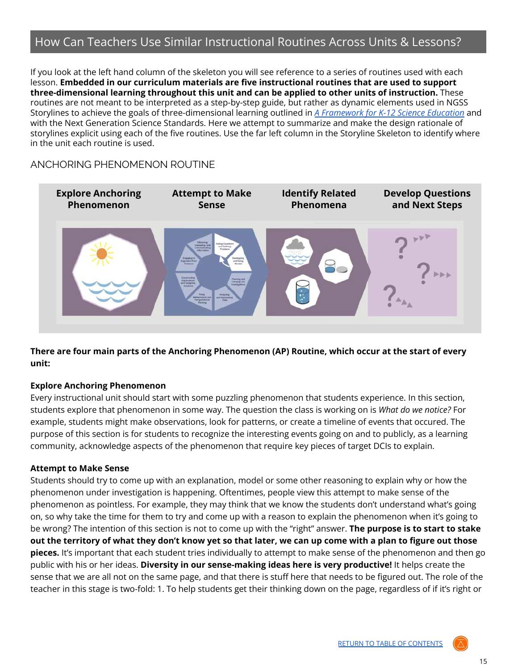# <span id="page-14-0"></span>How Can Teachers Use Similar Instructional Routines Across Units & Lessons?

If you look at the left hand column of the skeleton you will see reference to a series of routines used with each lesson. **Embedded in our curriculum materials are five instructional routines that are used to support three-dimensional learning throughout this unit and can be applied to other units of instruction.** These routines are not meant to be interpreted as a step-by-step guide, but rather as dynamic elements used in NGSS Storylines to achieve the goals of three-dimensional learning outlined in *A [Framework](http://sites.nationalacademies.org/dbasse/bose/framework_k12_science/index.htm) for K-12 Science Education* and with the Next Generation Science Standards. Here we attempt to summarize and make the design rationale of storylines explicit using each of the five routines. Use the far left column in the Storyline Skeleton to identify where in the unit each routine is used.

# <span id="page-14-1"></span>ANCHORING PHENOMENON ROUTINE



There are four main parts of the Anchoring Phenomenon (AP) Routine, which occur at the start of every **unit:**

#### **Explore Anchoring Phenomenon**

Every instructional unit should start with some puzzling phenomenon that students experience. In this section, students explore that phenomenon in some way. The question the class is working on is *What do we notice?* For example, students might make observations, look for patterns, or create a timeline of events that occured. The purpose of this section is for students to recognize the interesting events going on and to publicly, as a learning community, acknowledge aspects of the phenomenon that require key pieces of target DCIs to explain.

#### **Attempt to Make Sense**

Students should try to come up with an explanation, model or some other reasoning to explain why or how the phenomenon under investigation is happening. Oftentimes, people view this attempt to make sense of the phenomenon as pointless. For example, they may think that we know the students don't understand what's going on, so why take the time for them to try and come up with a reason to explain the phenomenon when it's going to be wrong? The intention of this section is not to come up with the "right" answer. **The purpose is to start to stake** out the territory of what they don't know yet so that later, we can up come with a plan to figure out those **pieces.** It's important that each student tries individually to attempt to make sense of the phenomenon and then go public with his or her ideas. **Diversity in our sense-making ideas here is very productive!** It helps create the sense that we are all not on the same page, and that there is stuff here that needs to be figured out. The role of the teacher in this stage is two-fold: 1. To help students get their thinking down on the page, regardless of if it's right or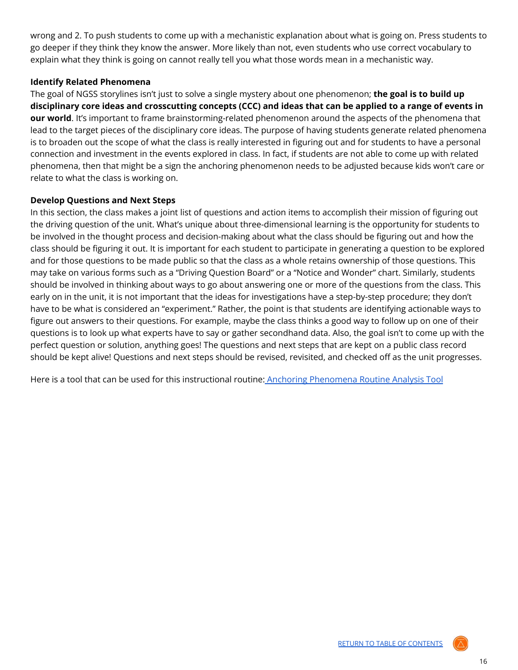wrong and 2. To push students to come up with a mechanistic explanation about what is going on. Press students to go deeper if they think they know the answer. More likely than not, even students who use correct vocabulary to explain what they think is going on cannot really tell you what those words mean in a mechanistic way.

### **Identify Related Phenomena**

The goal of NGSS storylines isn't just to solve a single mystery about one phenomenon; **the goal is to build up** disciplinary core ideas and crosscutting concepts (CCC) and ideas that can be applied to a range of events in **our world**. It's important to frame brainstorming-related phenomenon around the aspects of the phenomena that lead to the target pieces of the disciplinary core ideas. The purpose of having students generate related phenomena is to broaden out the scope of what the class is really interested in figuring out and for students to have a personal connection and investment in the events explored in class. In fact, if students are not able to come up with related phenomena, then that might be a sign the anchoring phenomenon needs to be adjusted because kids won't care or relate to what the class is working on.

#### **Develop Questions and Next Steps**

In this section, the class makes a joint list of questions and action items to accomplish their mission of figuring out the driving question of the unit. What's unique about three-dimensional learning is the opportunity for students to be involved in the thought process and decision-making about what the class should be figuring out and how the class should be figuring it out. It is important for each student to participate in generating a question to be explored and for those questions to be made public so that the class as a whole retains ownership of those questions. This may take on various forms such as a "Driving Question Board" or a "Notice and Wonder" chart. Similarly, students should be involved in thinking about ways to go about answering one or more of the questions from the class. This early on in the unit, it is not important that the ideas for investigations have a step-by-step procedure; they don't have to be what is considered an "experiment." Rather, the point is that students are identifying actionable ways to figure out answers to their questions. For example, maybe the class thinks a good way to follow up on one of their questions is to look up what experts have to say or gather secondhand data. Also, the goal isn't to come up with the perfect question or solution, anything goes! The questions and next steps that are kept on a public class record should be kept alive! Questions and next steps should be revised, revisited, and checked off as the unit progresses.

Here is a tool that can be used for this instructional routine: Anchoring [Phenomena](https://docs.google.com/document/d/1WDZI9BsLVcT1eML0GbjPfOqcDN1TYYdpPTEoniX-LUY/copy) Routine Analysis Too[l](https://docs.google.com/document/d/1PB5BTpjqQ2-1GBOKiK8LAnQ4Xwp8AxEeU7BoJBBI0fw/copy)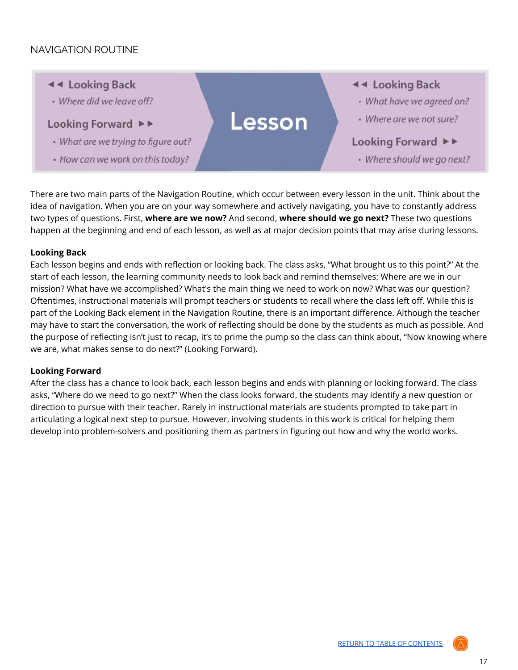# <span id="page-16-0"></span>NAVIGATION ROUTINE

- ◀ < Looking Back
- · Where did we leave off?

### Looking Forward ▶▶

- What are we trying to figure out?
- How can we work on this today?

**44 Looking Back** 

- What have we agreed on?
- Where are we not sure?

#### Looking Forward ▶▶

• Where should we go next?

There are two main parts of the Navigation Routine, which occur between every lesson in the unit. Think about the idea of navigation. When you are on your way somewhere and actively navigating, you have to constantly address two types of questions. First, **where are we now?** And second, **where should we go next?** These two questions happen at the beginning and end of each lesson, as well as at major decision points that may arise during lessons.

Lesson

#### **Looking Back**

Each lesson begins and ends with reflection or looking back. The class asks, "What brought us to this point?" At the start of each lesson, the learning community needs to look back and remind themselves: Where are we in our mission? What have we accomplished? What's the main thing we need to work on now? What was our question? Oftentimes, instructional materials will prompt teachers or students to recall where the class left off. While this is part of the Looking Back element in the Navigation Routine, there is an important difference. Although the teacher may have to start the conversation, the work of reflecting should be done by the students as much as possible. And the purpose of reflecting isn't just to recap, it's to prime the pump so the class can think about, "Now knowing where we are, what makes sense to do next?" (Looking Forward).

#### **Looking Forward**

After the class has a chance to look back, each lesson begins and ends with planning or looking forward. The class asks, "Where do we need to go next?" When the class looks forward, the students may identify a new question or direction to pursue with their teacher. Rarely in instructional materials are students prompted to take part in articulating a logical next step to pursue. However, involving students in this work is critical for helping them develop into problem-solvers and positioning them as partners in figuring out how and why the world works.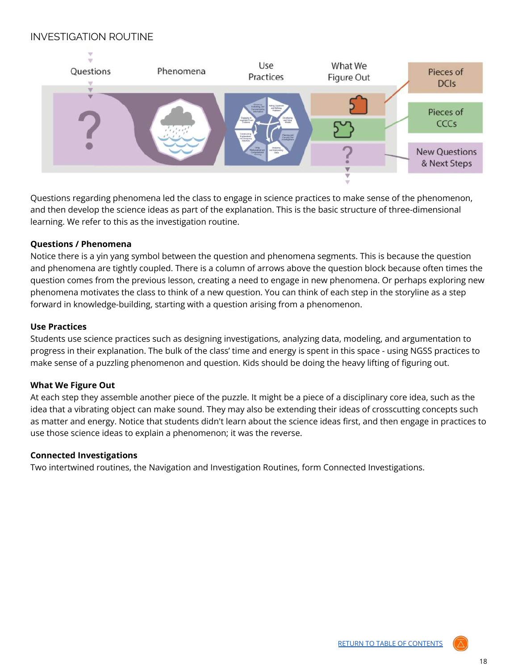# <span id="page-17-0"></span>INVESTIGATION ROUTINE



Questions regarding phenomena led the class to engage in science practices to make sense of the phenomenon, and then develop the science ideas as part of the explanation. This is the basic structure of three-dimensional learning. We refer to this as the investigation routine.

#### **Questions / Phenomena**

Notice there is a yin yang symbol between the question and phenomena segments. This is because the question and phenomena are tightly coupled. There is a column of arrows above the question block because often times the question comes from the previous lesson, creating a need to engage in new phenomena. Or perhaps exploring new phenomena motivates the class to think of a new question. You can think of each step in the storyline as a step forward in knowledge-building, starting with a question arising from a phenomenon.

#### **Use Practices**

Students use science practices such as designing investigations, analyzing data, modeling, and argumentation to progress in their explanation. The bulk of the class' time and energy is spent in this space - using NGSS practices to make sense of a puzzling phenomenon and question. Kids should be doing the heavy lifting of figuring out.

#### **What We Figure Out**

At each step they assemble another piece of the puzzle. It might be a piece of a disciplinary core idea, such as the idea that a vibrating object can make sound. They may also be extending their ideas of crosscutting concepts such as matter and energy. Notice that students didn't learn about the science ideas first, and then engage in practices to use those science ideas to explain a phenomenon; it was the reverse.

#### **Connected Investigations**

Two intertwined routines, the Navigation and Investigation Routines, form Connected Investigations.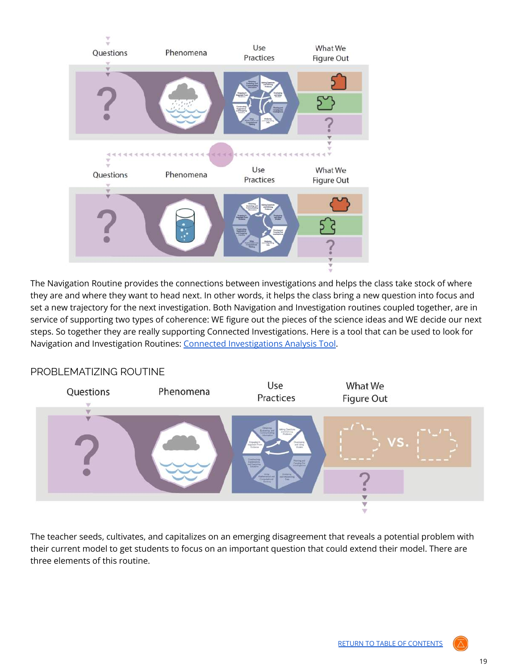

The Navigation Routine provides the connections between investigations and helps the class take stock of where they are and where they want to head next. In other words, it helps the class bring a new question into focus and set a new trajectory for the next investigation. Both Navigation and Investigation routines coupled together, are in service of supporting two types of coherence: WE figure out the pieces of the science ideas and WE decide our next steps. So together they are really supporting Connected Investigations. Here is a tool that can be used to look for Navigation and Investigation Routines: Connected [Investigations](https://docs.google.com/document/d/1dy9f2JYw2Dbk9emYB52NQAC-cudrsG2x4NTzaWI7y5k/copy) Analysis Tool.



# <span id="page-18-0"></span>PROBLEMATIZING ROUTINE

The teacher seeds, cultivates, and capitalizes on an emerging disagreement that reveals a potential problem with their current model to get students to focus on an important question that could extend their model. There are three elements of this routine.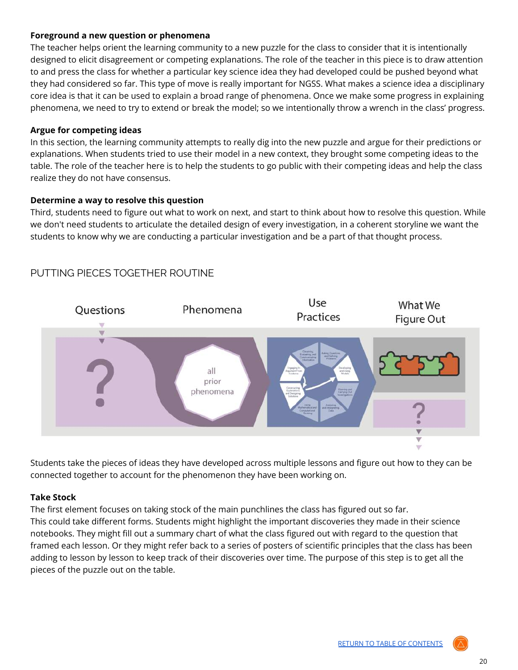### **Foreground a new question or phenomena**

The teacher helps orient the learning community to a new puzzle for the class to consider that it is intentionally designed to elicit disagreement or competing explanations. The role of the teacher in this piece is to draw attention to and press the class for whether a particular key science idea they had developed could be pushed beyond what they had considered so far. This type of move is really important for NGSS. What makes a science idea a disciplinary core idea is that it can be used to explain a broad range of phenomena. Once we make some progress in explaining phenomena, we need to try to extend or break the model; so we intentionally throw a wrench in the class' progress.

### **Argue for competing ideas**

In this section, the learning community attempts to really dig into the new puzzle and argue for their predictions or explanations. When students tried to use their model in a new context, they brought some competing ideas to the table. The role of the teacher here is to help the students to go public with their competing ideas and help the class realize they do not have consensus.

#### **Determine a way to resolve this question**

Third, students need to figure out what to work on next, and start to think about how to resolve this question. While we don't need students to articulate the detailed design of every investigation, in a coherent storyline we want the students to know why we are conducting a particular investigation and be a part of that thought process.



# <span id="page-19-0"></span>PUTTING PIECES TOGETHER ROUTINE

Students take the pieces of ideas they have developed across multiple lessons and figure out how to they can be connected together to account for the phenomenon they have been working on.

#### **Take Stock**

The first element focuses on taking stock of the main punchlines the class has figured out so far. This could take different forms. Students might highlight the important discoveries they made in their science notebooks. They might fill out a summary chart of what the class figured out with regard to the question that framed each lesson. Or they might refer back to a series of posters of scientific principles that the class has been adding to lesson by lesson to keep track of their discoveries over time. The purpose of this step is to get all the pieces of the puzzle out on the table.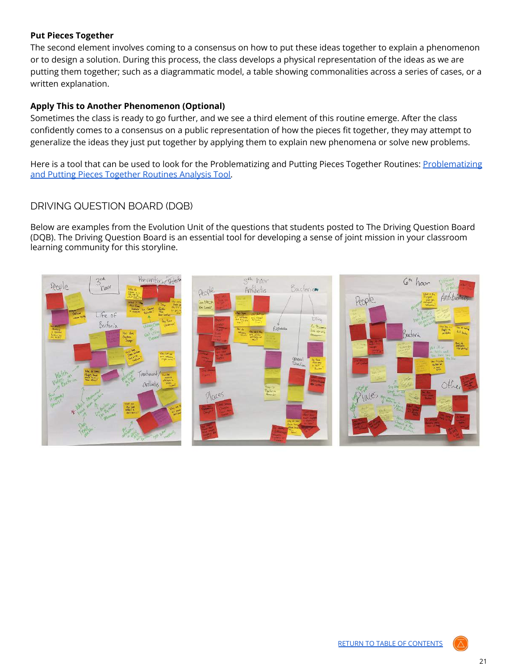### **Put Pieces Together**

The second element involves coming to a consensus on how to put these ideas together to explain a phenomenon or to design a solution. During this process, the class develops a physical representation of the ideas as we are putting them together; such as a diagrammatic model, a table showing commonalities across a series of cases, or a written explanation.

### **Apply This to Another Phenomenon (Optional)**

Sometimes the class is ready to go further, and we see a third element of this routine emerge. After the class confidently comes to a consensus on a public representation of how the pieces fit together, they may attempt to generalize the ideas they just put together by applying them to explain new phenomena or solve new problems.

Here is a tool that can be used to look for the [Problematizing](https://docs.google.com/document/d/1fj14EkaB-bK64CLfqB4uEqDjofbYwSoHwiPjH8nFrw4/copy) and Putting Pieces Together Routines: Problematizing and Putting Pieces [Together](https://docs.google.com/document/d/1fj14EkaB-bK64CLfqB4uEqDjofbYwSoHwiPjH8nFrw4/copy) Routines Analysis Tool.

# <span id="page-20-0"></span>DRIVING QUESTION BOARD (DQB)

Below are examples from the Evolution Unit of the questions that students posted to The Driving Question Board (DQB). The Driving Question Board is an essential tool for developing a sense of joint mission in your classroom learning community for this storyline.

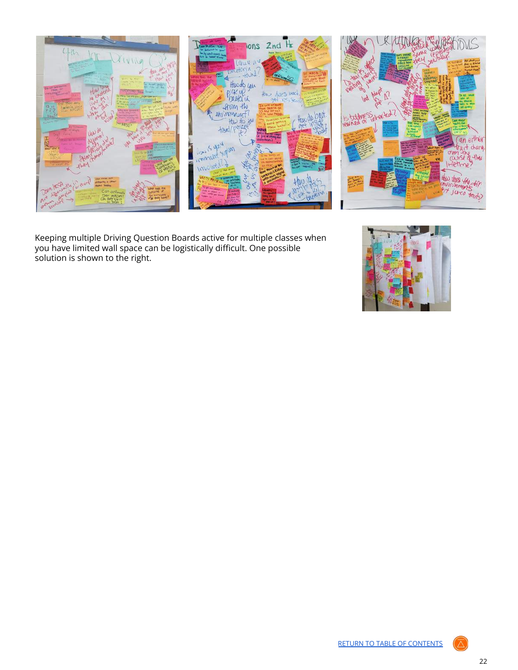



Keeping multiple Driving Question Boards active for multiple classes when you have limited wall space can be logistically difficult. One possible solution is shown to the right.

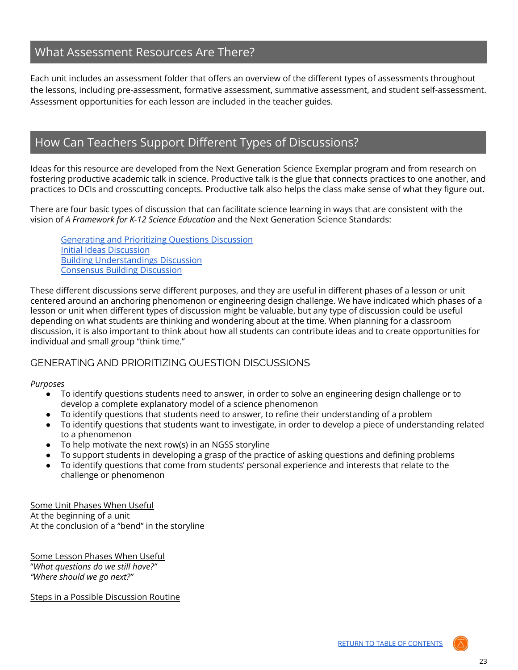# <span id="page-22-0"></span>What Assessment Resources Are There?

Each unit includes an assessment folder that offers an overview of the different types of assessments throughout the lessons, including pre-assessment, formative assessment, summative assessment, and student self-assessment. Assessment opportunities for each lesson are included in the teacher guides.

# <span id="page-22-1"></span>How Can Teachers Support Different Types of Discussions?

Ideas for this resource are developed from the Next Generation Science Exemplar program and from research on fostering productive academic talk in science. Productive talk is the glue that connects practices to one another, and practices to DCIs and crosscutting concepts. Productive talk also helps the class make sense of what they figure out.

There are four basic types of discussion that can facilitate science learning in ways that are consistent with the vision of *A Framework for K-12 Science Education* and the Next Generation Science Standards:

[Generating](#page-22-2) and Prioritizing Questions Discussion Initial Ideas [Discussion](#page-23-0) Building [Understandings](#page-24-0) Discussion [Consensus](#page-25-0) Building Discussion

These different discussions serve different purposes, and they are useful in different phases of a lesson or unit centered around an anchoring phenomenon or engineering design challenge. We have indicated which phases of a lesson or unit when different types of discussion might be valuable, but any type of discussion could be useful depending on what students are thinking and wondering about at the time. When planning for a classroom discussion, it is also important to think about how all students can contribute ideas and to create opportunities for individual and small group "think time."

### <span id="page-22-2"></span>GENERATING AND PRIORITIZING QUESTION DISCUSSIONS

#### *Purposes*

- To identify questions students need to answer, in order to solve an engineering design challenge or to develop a complete explanatory model of a science phenomenon
- To identify questions that students need to answer, to refine their understanding of a problem
- To identify questions that students want to investigate, in order to develop a piece of understanding related to a phenomenon
- To help motivate the next row(s) in an NGSS storyline
- To support students in developing a grasp of the practice of asking questions and defining problems
- To identify questions that come from students' personal experience and interests that relate to the challenge or phenomenon

Some Unit Phases When Useful At the beginning of a unit At the conclusion of a "bend" in the storyline

Some Lesson Phases When Useful "*What questions do we still have?" "Where should we go next?"*

Steps in a Possible Discussion Routine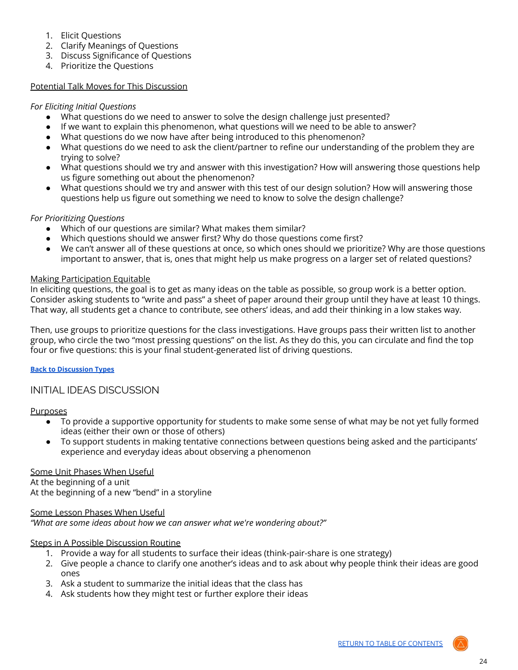- 1. Elicit Questions
- 2. Clarify Meanings of Questions
- 3. Discuss Significance of Questions
- 4. Prioritize the Questions

#### Potential Talk Moves for This Discussion

#### *For Eliciting Initial Questions*

- What questions do we need to answer to solve the design challenge just presented?
- If we want to explain this phenomenon, what questions will we need to be able to answer?
- What questions do we now have after being introduced to this phenomenon?
- What questions do we need to ask the client/partner to refine our understanding of the problem they are trying to solve?
- What questions should we try and answer with this investigation? How will answering those questions help us figure something out about the phenomenon?
- What questions should we try and answer with this test of our design solution? How will answering those questions help us figure out something we need to know to solve the design challenge?

#### *For Prioritizing Questions*

- Which of our questions are similar? What makes them similar?
- Which questions should we answer first? Why do those questions come first?
- We can't answer all of these questions at once, so which ones should we prioritize? Why are those questions important to answer, that is, ones that might help us make progress on a larger set of related questions?

#### Making Participation Equitable

In eliciting questions, the goal is to get as many ideas on the table as possible, so group work is a better option. Consider asking students to "write and pass" a sheet of paper around their group until they have at least 10 things. That way, all students get a chance to contribute, see others' ideas, and add their thinking in a low stakes way.

Then, use groups to prioritize questions for the class investigations. Have groups pass their written list to another group, who circle the two "most pressing questions" on the list. As they do this, you can circulate and find the top four or five questions: this is your final student-generated list of driving questions.

#### **Back to [Discussion](#page-22-1) Types**

#### <span id="page-23-0"></span>INITIAL IDEAS DISCUSSION

#### Purposes

- To provide a supportive opportunity for students to make some sense of what may be not yet fully formed ideas (either their own or those of others)
- To support students in making tentative connections between questions being asked and the participants' experience and everyday ideas about observing a phenomenon

#### Some Unit Phases When Useful

At the beginning of a unit At the beginning of a new "bend" in a storyline

#### Some Lesson Phases When Useful

*"What are some ideas about how we can answer what we're wondering about?"*

#### Steps in A Possible Discussion Routine

- 1. Provide a way for all students to surface their ideas (think-pair-share is one strategy)
- 2. Give people a chance to clarify one another's ideas and to ask about why people think their ideas are good ones
- 3. Ask a student to summarize the initial ideas that the class has
- 4. Ask students how they might test or further explore their ideas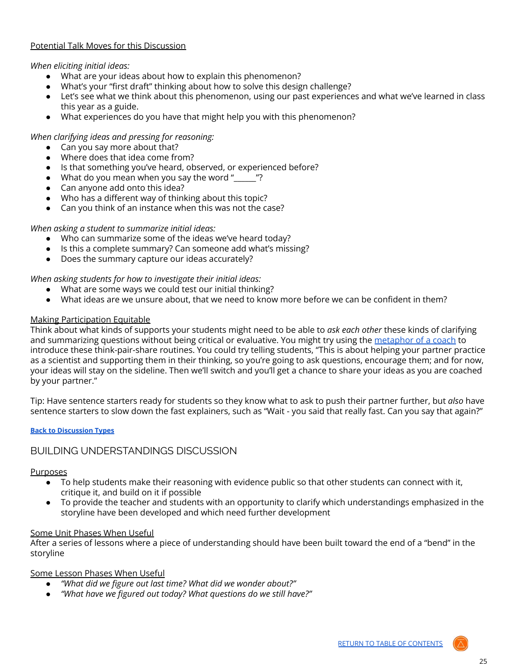#### Potential Talk Moves for this Discussion

*When eliciting initial ideas:*

- What are your ideas about how to explain this phenomenon?
- What's your "first draft" thinking about how to solve this design challenge?
- Let's see what we think about this phenomenon, using our past experiences and what we've learned in class this year as a guide.
- What experiences do you have that might help you with this phenomenon?

#### *When clarifying ideas and pressing for reasoning:*

- Can you say more about that?
- Where does that idea come from?
- Is that something you've heard, observed, or experienced before?
- What do you mean when you say the word " $\ddot{ }$ "?
- Can anyone add onto this idea?
- Who has a different way of thinking about this topic?
- Can you think of an instance when this was not the case?

#### *When asking a student to summarize initial ideas:*

- Who can summarize some of the ideas we've heard today?
- Is this a complete summary? Can someone add what's missing?
- Does the summary capture our ideas accurately?

*When asking students for how to investigate their initial ideas:*

- What are some ways we could test our initial thinking?
- What ideas are we unsure about, that we need to know more before we can be confident in them?

#### Making Participation Equitable

Think about what kinds of supports your students might need to be able to *ask each other* these kinds of clarifying and summarizing questions without being critical or evaluative. You might try using the [metaphor](http://stemteachingtools.org/assets/landscapes/Protocolsv2_11.pdf) of a coach to introduce these think-pair-share routines. You could try telling students, "This is about helping your partner practice as a scientist and supporting them in their thinking, so you're going to ask questions, encourage them; and for now, your ideas will stay on the sideline. Then we'll switch and you'll get a chance to share your ideas as you are coached by your partner."

Tip: Have sentence starters ready for students so they know what to ask to push their partner further, but *also* have sentence starters to slow down the fast explainers, such as "Wait - you said that really fast. Can you say that again?"

#### **Back to [Discussion](#page-22-1) Types**

### <span id="page-24-0"></span>BUILDING UNDERSTANDINGS DISCUSSION

#### **Purposes**

- To help students make their reasoning with evidence public so that other students can connect with it, critique it, and build on it if possible
- To provide the teacher and students with an opportunity to clarify which understandings emphasized in the storyline have been developed and which need further development

#### Some Unit Phases When Useful

After a series of lessons where a piece of understanding should have been built toward the end of a "bend" in the storyline

#### Some Lesson Phases When Useful

- *● "What did we figure out last time? What did we wonder about?"*
- *● "What have we figured out today? What questions do we still have?"*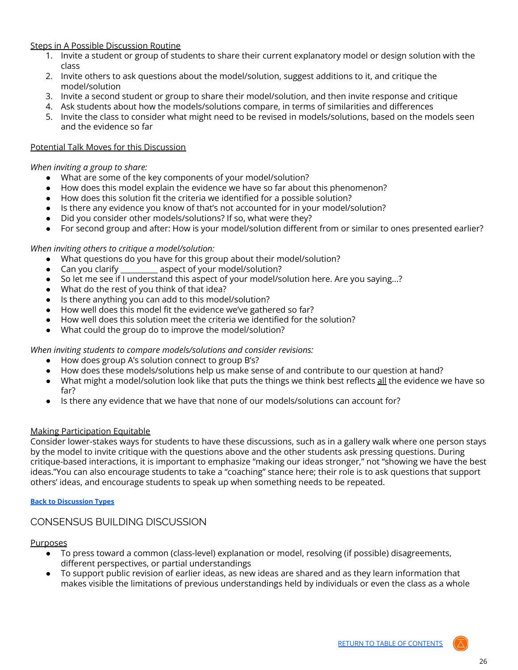#### Steps in A Possible Discussion Routine

- 1. Invite a student or group of students to share their current explanatory model or design solution with the class
- 2. Invite others to ask questions about the model/solution, suggest additions to it, and critique the model/solution
- 3. Invite a second student or group to share their model/solution, and then invite response and critique
- 4. Ask students about how the models/solutions compare, in terms of similarities and differences
- 5. Invite the class to consider what might need to be revised in models/solutions, based on the models seen and the evidence so far

#### Potential Talk Moves for this Discussion

#### *When inviting a group to share:*

- What are some of the key components of your model/solution?
- How does this model explain the evidence we have so far about this phenomenon?
- How does this solution fit the criteria we identified for a possible solution?
- Is there any evidence you know of that's not accounted for in your model/solution?
- Did you consider other models/solutions? If so, what were they?
- For second group and after: How is your model/solution different from or similar to ones presented earlier?

#### *When inviting others to critique a model/solution:*

- What questions do you have for this group about their model/solution?
- Can you clarify \_\_\_\_\_\_\_\_\_\_ aspect of your model/solution?
- So let me see if I understand this aspect of your model/solution here. Are you saying...?
- What do the rest of you think of that idea?
- Is there anything you can add to this model/solution?
- How well does this model fit the evidence we've gathered so far?
- How well does this solution meet the criteria we identified for the solution?
- What could the group do to improve the model/solution?

*When inviting students to compare models/solutions and consider revisions:*

- How does group A's solution connect to group B's?
- How does these models/solutions help us make sense of and contribute to our question at hand?
- What might a model/solution look like that puts the things we think best reflects all the evidence we have so far?
- Is there any evidence that we have that none of our models/solutions can account for?

#### Making Participation Equitable

Consider lower-stakes ways for students to have these discussions, such as in a gallery walk where one person stays by the model to invite critique with the questions above and the other students ask pressing questions. During critique-based interactions, it is important to emphasize "making our ideas stronger," not "showing we have the best ideas."You can also encourage students to take a "coaching" stance here; their role is to ask questions that support others' ideas, and encourage students to speak up when something needs to be repeated.

#### **Back to [Discussion](#page-22-1) Types**

### <span id="page-25-0"></span>CONSENSUS BUILDING DISCUSSION

#### Purposes

- To press toward a common (class-level) explanation or model, resolving (if possible) disagreements, different perspectives, or partial understandings
- $\bullet$  To support public revision of earlier ideas, as new ideas are shared and as they learn information that makes visible the limitations of previous understandings held by individuals or even the class as a whole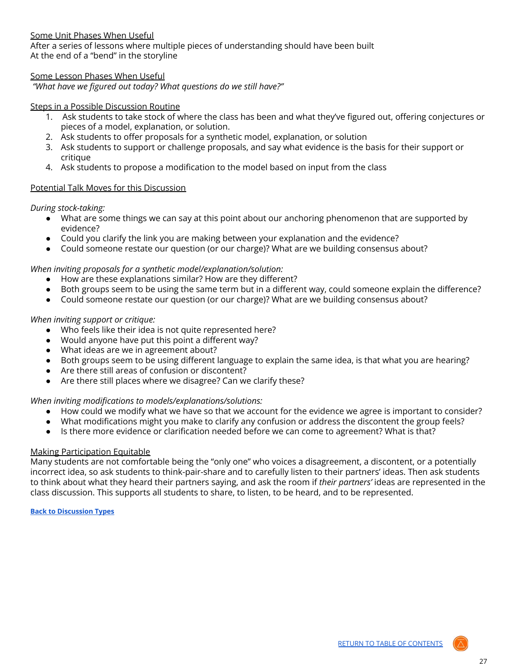#### Some Unit Phases When Useful

After a series of lessons where multiple pieces of understanding should have been built At the end of a "bend" in the storyline

#### Some Lesson Phases When Useful

*"What have we figured out today? What questions do we still have?"*

#### Steps in a Possible Discussion Routine

- 1. Ask students to take stock of where the class has been and what they've figured out, offering conjectures or pieces of a model, explanation, or solution.
- 2. Ask students to offer proposals for a synthetic model, explanation, or solution
- 3. Ask students to support or challenge proposals, and say what evidence is the basis for their support or critique
- 4. Ask students to propose a modification to the model based on input from the class

#### Potential Talk Moves for this Discussion

*During stock-taking:*

- What are some things we can say at this point about our anchoring phenomenon that are supported by evidence?
- Could you clarify the link you are making between your explanation and the evidence?
- Could someone restate our question (or our charge)? What are we building consensus about?

#### *When inviting proposals for a synthetic model/explanation/solution:*

- How are these explanations similar? How are they different?
- Both groups seem to be using the same term but in a different way, could someone explain the difference?
- Could someone restate our question (or our charge)? What are we building consensus about?

#### *When inviting support or critique:*

- Who feels like their idea is not quite represented here?
- Would anyone have put this point a different way?
- What ideas are we in agreement about?
- Both groups seem to be using different language to explain the same idea, is that what you are hearing?
- Are there still areas of confusion or discontent?
- Are there still places where we disagree? Can we clarify these?

#### *When inviting modifications to models/explanations/solutions:*

- How could we modify what we have so that we account for the evidence we agree is important to consider?
- What modifications might you make to clarify any confusion or address the discontent the group feels?
- Is there more evidence or clarification needed before we can come to agreement? What is that?

#### Making Participation Equitable

Many students are not comfortable being the "only one" who voices a disagreement, a discontent, or a potentially incorrect idea, so ask students to think-pair-share and to carefully listen to their partners' ideas. Then ask students to think about what they heard their partners saying, and ask the room if *their partners'* ideas are represented in the class discussion. This supports all students to share, to listen, to be heard, and to be represented.

#### **Back to [Discussion](#page-22-1) Types**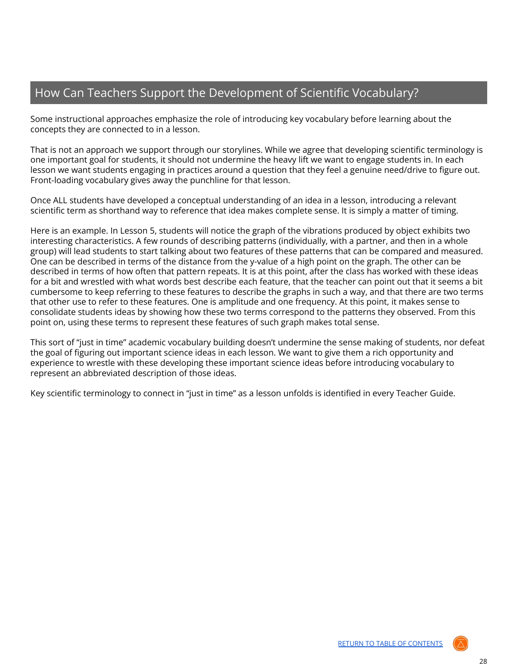# <span id="page-27-0"></span>How Can Teachers Support the Development of Scientific Vocabulary?

Some instructional approaches emphasize the role of introducing key vocabulary before learning about the concepts they are connected to in a lesson.

That is not an approach we support through our storylines. While we agree that developing scientific terminology is one important goal for students, it should not undermine the heavy lift we want to engage students in. In each lesson we want students engaging in practices around a question that they feel a genuine need/drive to figure out. Front-loading vocabulary gives away the punchline for that lesson.

Once ALL students have developed a conceptual understanding of an idea in a lesson, introducing a relevant scientific term as shorthand way to reference that idea makes complete sense. It is simply a matter of timing.

Here is an example. In Lesson 5, students will notice the graph of the vibrations produced by object exhibits two interesting characteristics. A few rounds of describing patterns (individually, with a partner, and then in a whole group) will lead students to start talking about two features of these patterns that can be compared and measured. One can be described in terms of the distance from the y-value of a high point on the graph. The other can be described in terms of how often that pattern repeats. It is at this point, after the class has worked with these ideas for a bit and wrestled with what words best describe each feature, that the teacher can point out that it seems a bit cumbersome to keep referring to these features to describe the graphs in such a way, and that there are two terms that other use to refer to these features. One is amplitude and one frequency. At this point, it makes sense to consolidate students ideas by showing how these two terms correspond to the patterns they observed. From this point on, using these terms to represent these features of such graph makes total sense.

This sort of "just in time" academic vocabulary building doesn't undermine the sense making of students, nor defeat the goal of figuring out important science ideas in each lesson. We want to give them a rich opportunity and experience to wrestle with these developing these important science ideas before introducing vocabulary to represent an abbreviated description of those ideas.

Key scientific terminology to connect in "just in time" as a lesson unfolds is identified in every Teacher Guide.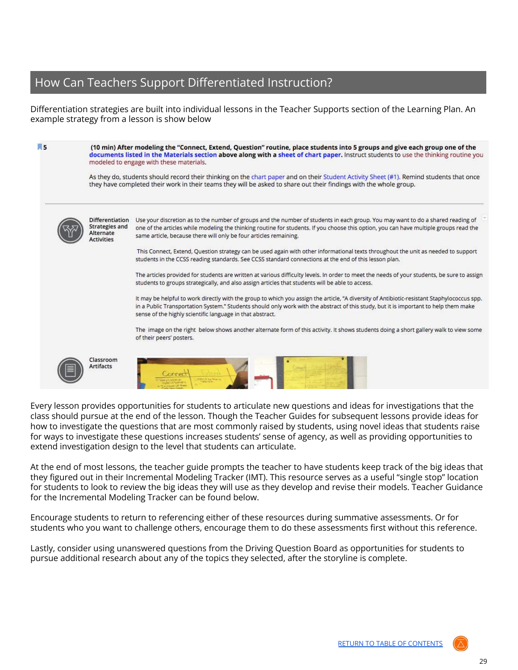# <span id="page-28-0"></span>How Can Teachers Support Differentiated Instruction?

Differentiation strategies are built into individual lessons in the Teacher Supports section of the Learning Plan. An example strategy from a lesson is show below

| 园 5 |                                                                                   | (10 min) After modeling the "Connect, Extend, Question" routine, place students into 5 groups and give each group one of the<br>documents listed in the Materials section above along with a sheet of chart paper. Instruct students to use the thinking routine you<br>modeled to engage with these materials.<br>As they do, students should record their thinking on the chart paper and on their Student Activity Sheet (#1). Remind students that once<br>they have completed their work in their teams they will be asked to share out their findings with the whole group. |  |  |  |
|-----|-----------------------------------------------------------------------------------|-----------------------------------------------------------------------------------------------------------------------------------------------------------------------------------------------------------------------------------------------------------------------------------------------------------------------------------------------------------------------------------------------------------------------------------------------------------------------------------------------------------------------------------------------------------------------------------|--|--|--|
|     |                                                                                   |                                                                                                                                                                                                                                                                                                                                                                                                                                                                                                                                                                                   |  |  |  |
|     | <b>Differentiation</b><br><b>Strategies and</b><br>Alternate<br><b>Activities</b> | Use your discretion as to the number of groups and the number of students in each group. You may want to do a shared reading of<br>one of the articles while modeling the thinking routine for students. If you choose this option, you can have multiple groups read the<br>same article, because there will only be four articles remaining.                                                                                                                                                                                                                                    |  |  |  |
|     |                                                                                   | This Connect, Extend, Question strategy can be used again with other informational texts throughout the unit as needed to support<br>students in the CCSS reading standards. See CCSS standard connections at the end of this lesson plan.                                                                                                                                                                                                                                                                                                                                        |  |  |  |
|     |                                                                                   | The articles provided for students are written at various difficulty levels. In order to meet the needs of your students, be sure to assign<br>students to groups strategically, and also assign articles that students will be able to access.                                                                                                                                                                                                                                                                                                                                   |  |  |  |
|     |                                                                                   | It may be helpful to work directly with the group to which you assign the article, "A diversity of Antibiotic-resistant Staphylococcus spp.<br>in a Public Transportation System." Students should only work with the abstract of this study, but it is important to help them make<br>sense of the highly scientific language in that abstract.                                                                                                                                                                                                                                  |  |  |  |
|     |                                                                                   | The image on the right below shows another alternate form of this activity. It shows students doing a short gallery walk to view some<br>of their peers' posters.                                                                                                                                                                                                                                                                                                                                                                                                                 |  |  |  |
|     | Classroom<br><b>Artifacts</b>                                                     |                                                                                                                                                                                                                                                                                                                                                                                                                                                                                                                                                                                   |  |  |  |

Every lesson provides opportunities for students to articulate new questions and ideas for investigations that the class should pursue at the end of the lesson. Though the Teacher Guides for subsequent lessons provide ideas for how to investigate the questions that are most commonly raised by students, using novel ideas that students raise for ways to investigate these questions increases students' sense of agency, as well as providing opportunities to extend investigation design to the level that students can articulate.

At the end of most lessons, the teacher guide prompts the teacher to have students keep track of the big ideas that they figured out in their Incremental Modeling Tracker (IMT). This resource serves as a useful "single stop" location for students to look to review the big ideas they will use as they develop and revise their models. Teacher Guidance for the Incremental Modeling Tracker can be found below.

Encourage students to return to referencing either of these resources during summative assessments. Or for students who you want to challenge others, encourage them to do these assessments first without this reference.

Lastly, consider using unanswered questions from the Driving Question Board as opportunities for students to pursue additional research about any of the topics they selected, after the storyline is complete.